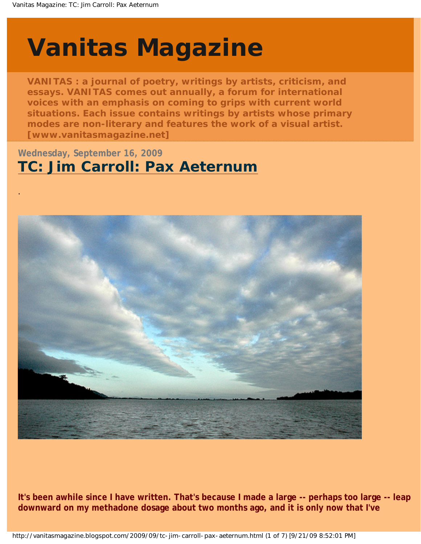.

# <span id="page-0-0"></span>**[Vanitas Magazine](http://vanitasmagazine.blogspot.com/)**

**VANITAS : a journal of poetry, writings by artists, criticism, and essays. VANITAS comes out annually, a forum for international voices with an emphasis on coming to grips with current world situations. Each issue contains writings by artists whose primary modes are non-literary and features the work of a visual artist. [www.vanitasmagazine.net]**

### **Wednesday, September 16, 2009 [TC: Jim Carroll: Pax Aeternum](#page-0-0)**



**It's been awhile since I have written. That's because I made a large -- perhaps too large -- leap downward on my methadone dosage about two months ago, and it is only now that I've**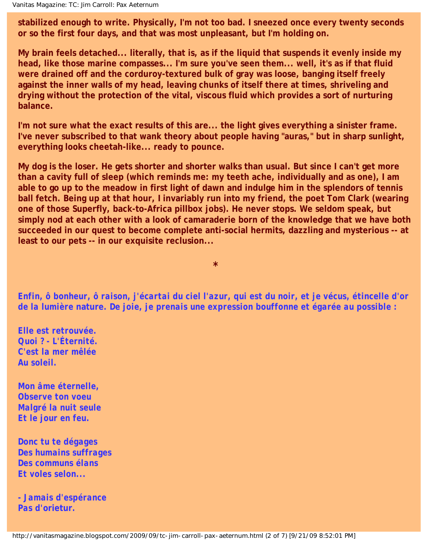**stabilized enough to write. Physically, I'm not too bad. I sneezed once every twenty seconds or so the first four days, and that was most unpleasant, but I'm holding on.** 

**My brain feels detached... literally, that is, as if the liquid that suspends it evenly inside my head, like those marine compasses... I'm sure you've seen them... well, it's as if that fluid were drained off and the corduroy-textured bulk of gray was loose, banging itself freely against the inner walls of my head, leaving chunks of itself there at times, shriveling and drying without the protection of the vital, viscous fluid which provides a sort of nurturing balance.** 

**I'm not sure what the exact results of this are... the light gives everything a sinister frame. I've never subscribed to that wank theory about people having "auras," but in sharp sunlight, everything looks cheetah-like... ready to pounce.** 

**My dog is the loser. He gets shorter and shorter walks than usual. But since I can't get more than a cavity full of sleep (which reminds me: my teeth ache, individually and as one), I am able to go up to the meadow in first light of dawn and indulge him in the splendors of tennis ball fetch. Being up at that hour, I invariably run into my friend, the poet Tom Clark (wearing one of those Superfly, back-to-Africa pillbox jobs). He never stops. We seldom speak, but simply nod at each other with a look of camaraderie born of the knowledge that we have both succeeded in our quest to become complete anti-social hermits, dazzling and mysterious -- at least to our pets -- in our exquisite reclusion...**

*Enfin, ô bonheur, ô raison, j'écartai du ciel l'azur, qui est du noir, et je vécus, étincelle d'or de la lumière* **nature***. De joie, je prenais une expression bouffonne et égarée au possible :*

**\***

*Elle est retrouvée. Quoi ? - L'Éternité. C'est la mer mêlée Au soleil.*

*Mon âme éternelle, Observe ton voeu Malgré la nuit seule Et le jour en feu.*

*Donc tu te dégages Des humains suffrages Des communs élans Et voles selon...*

*- Jamais d'espérance Pas d'***orietur***.*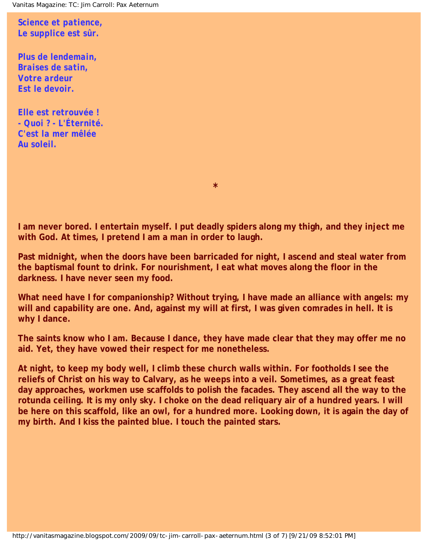*Science et patience, Le supplice est sûr.*

*Plus de lendemain, Braises de satin, Votre ardeur Est le devoir.*

*Elle est retrouvée ! - Quoi ? - L'Éternité. C'est la mer mêlée Au soleil.*

**I am never bored. I entertain myself. I put deadly spiders along my thigh, and they inject me with God. At times, I pretend I am a man in order to laugh.** 

*\**

**Past midnight, when the doors have been barricaded for night, I ascend and steal water from the baptismal fount to drink. For nourishment, I eat what moves along the floor in the darkness. I have never seen my food.** 

**What need have I for companionship? Without trying, I have made an alliance with angels: my**  will and capability are one. And, against my will at first, I was given comrades in hell. It is **why I dance.** 

**The saints know who I am. Because I dance, they have made clear that they may offer me no aid. Yet, they have vowed their respect for me nonetheless.** 

**At night, to keep my body well, I climb these church walls within. For footholds I see the reliefs of Christ on his way to Calvary, as he weeps into a veil. Sometimes, as a great feast day approaches, workmen use scaffolds to polish the facades. They ascend all the way to the rotunda ceiling. It is my only sky. I choke on the dead reliquary air of a hundred years. I will be here on this scaffold, like an owl, for a hundred more. Looking down, it is again the day of my birth. And I kiss the painted blue. I touch the painted stars.**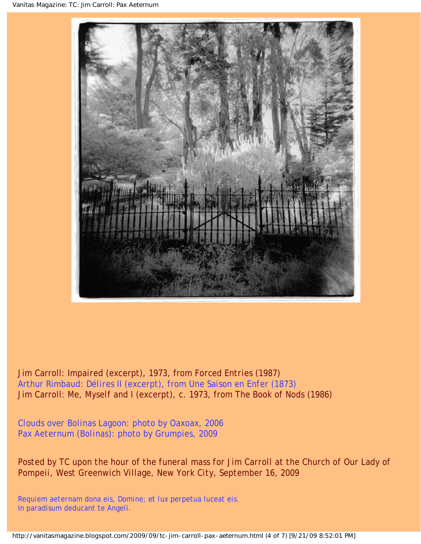

Jim Carroll: *Impaired* (excerpt), 1973, from *Forced Entries* (1987) Arthur Rimbaud: *Délires II* (excerpt), from *Une Saison en Enfer* (1873) Jim Carroll: *Me, Myself and I* (excerpt), c. 1973, from *The Book of Nods* (1986)

*Clouds over Bolinas Lagoon*: photo by Oaxoax, 2006 *Pax Aeternum (Bolinas)*: photo by Grumpies, 2009

Posted by TC upon the hour of the funeral mass for Jim Carroll at the Church of Our Lady of *Pompeii, West Greenwich Village, New York City, September 16, 2009*

*Requiem aeternam dona eis, Domine; et lux perpetua luceat eis. In paradisum deducant te Angeli.*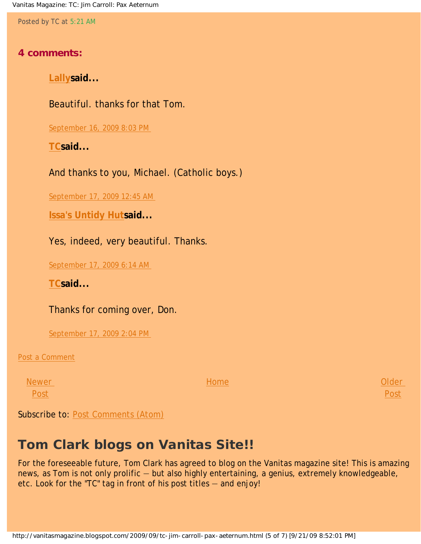Vanitas Magazine: TC: Jim Carroll: Pax Aeternum

Posted by TC at [5:21 AM](#page-0-0)

#### **4 comments:**

**[Lallys](http://www.blogger.com/profile/05310472614196384595)aid...** 

Beautiful. thanks for that Tom.

[September 16, 2009 8:03 PM](http://vanitasmagazine.blogspot.com/2009/09/tc-jim-carroll-pax-aeternum.html?showComment=1253156581742#c2547265616534419633)

**[TCs](http://www.blogger.com/profile/05915822857461178942)aid...** 

And thanks to you, Michael. (Catholic boys.)

[September 17, 2009 12:45 AM](http://vanitasmagazine.blogspot.com/2009/09/tc-jim-carroll-pax-aeternum.html?showComment=1253173522561#c6166432514085598361) 

**[Issa's Untidy Hut](http://www.blogger.com/profile/07352841590717991698)said...** 

Yes, indeed, very beautiful. Thanks.

[September 17, 2009 6:14 AM](http://vanitasmagazine.blogspot.com/2009/09/tc-jim-carroll-pax-aeternum.html?showComment=1253193269873#c6955138871117620315) 

**[TCs](http://www.blogger.com/profile/05915822857461178942)aid...** 

Thanks for coming over, Don.

[September 17, 2009 2:04 PM](http://vanitasmagazine.blogspot.com/2009/09/tc-jim-carroll-pax-aeternum.html?showComment=1253221447355#c7712392446220639254)

[Post a Comment](https://www.blogger.com/comment.g?blogID=9139185550151027390&postID=8358331105431539034)

**[Newer](http://vanitasmagazine.blogspot.com/2009/09/jc-in-memoriam.html)** [Post](http://vanitasmagazine.blogspot.com/2009/09/jc-in-memoriam.html)

[Home](http://vanitasmagazine.blogspot.com/)

[Older](http://vanitasmagazine.blogspot.com/2009/09/tc-species.html)  [Post](http://vanitasmagazine.blogspot.com/2009/09/tc-species.html)

Subscribe to: [Post Comments \(Atom\)](http://vanitasmagazine.blogspot.com/feeds/8358331105431539034/comments/default)

### **Tom Clark blogs on Vanitas Site!!**

For the foreseeable future, Tom Clark has agreed to blog on the Vanitas magazine site! This is amazing news, as Tom is not only prolific — but also highly entertaining, a genius, extremely knowledgeable, etc. Look for the "TC" tag in front of his post titles — and enjoy!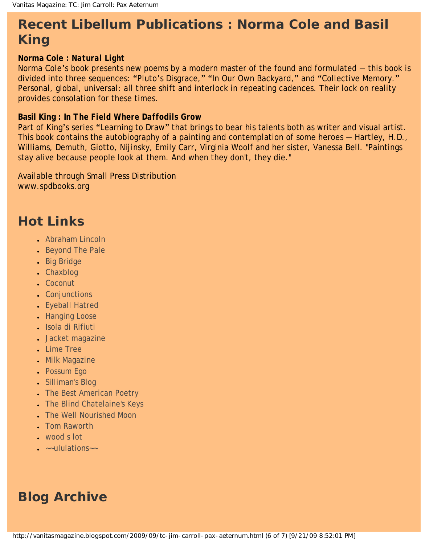## **Recent Libellum Publications : Norma Cole and Basil King**

#### **Norma Cole :** *Natural Light*

Norma Cole's book presents new poems by a modern master of the found and formulated — this book is divided into three sequences: "Pluto's Disgrace," "In Our Own Backyard," and "Collective Memory." Personal, global, universal: all three shift and interlock in repeating cadences. Their lock on reality provides consolation for these times.

#### **Basil King :** *In The Field Where Daffodils Grow*

Part of King's series "Learning to Draw" that brings to bear his talents both as writer and visual artist. This book contains the autobiography of a painting and contemplation of some heroes — Hartley, H.D., Williams, Demuth, Giotto, Nijinsky, Emily Carr, Virginia Woolf and her sister, Vanessa Bell. "Paintings stay alive because people look at them. And when they don't, they die."

Available through Small Press Distribution www.spdbooks.org

### **Hot Links**

- [Abraham Lincoln](http://abrahamlincolnmagazine.blogspot.com/)
- [Beyond The Pale](http://tomclarkblog.blogspot.com/)
- [Big Bridge](http://www.bigbridge.org/index2.htm)
- [Chaxblog](http://chax.org/blog.htm)
- [Coconut](http://www.coconutpoetry.org/)
- [Conjunctions](http://www.conjunctions.com/)
- [Eyeball Hatred](http://claytonbanes.blogspot.com/)
- [Hanging Loose](http://www.hangingloosepress.com/)
- [Isola di Rifiuti](http://isola-di-rifiuti.blogspot.com/)
- [Jacket magazine](http://jacketmagazine.com/00/home.shtml)
- [Lime Tree](http://lime-tree.blogspot.com/)
- [Milk Magazine](http://www.milkmag.org/)
- [Possum Ego](http://possumego.blogspot.com/)
- [Silliman's Blog](http://ronsilliman.blogspot.com/)
- [The Best American Poetry](http://www.bestamericanpoetry.com/)
- [The Blind Chatelaine's Keys](http://angelicpoker.blogspot.com/)
- **[The Well Nourished Moon](http://www.stephanieyoung.org/blog/)**
- [Tom Raworth](http://www.tomraworth.com/notes/)
- $\cdot$  [wood s lot](http://web.ncf.ca/ek867/wood_s_lot.html)
- $\bullet$   $\sim$ -ululations $\sim$

### **Blog Archive**